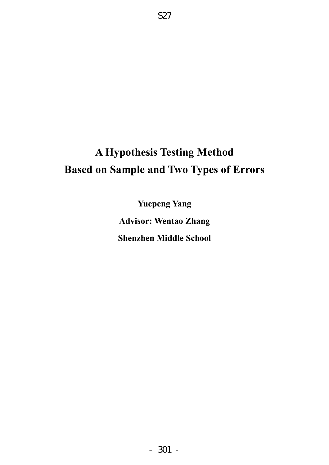# **A Hypothesis Testing Method Based on Sample and Two Types of Errors**

S27

**Yuepeng Yang Advisor: Wentao Zhang Shenzhen Middle School**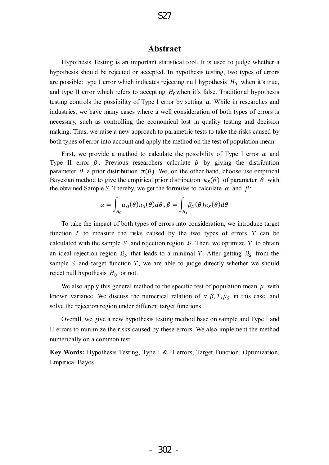# **Abstract**

Hypothesis Testing is an important statistical tool. It is used to judge whether a hypothesis should be rejected or accepted. In hypothesis testing, two types of errors are possible: type I error which indicates rejecting null hypothesis  $H_0$  when it's true, and type II error which refers to accepting  $H_0$  when it's false. Traditional hypothesis testing controls the possibility of Type I error by setting  $\alpha$ . While in researches and industries, we have many cases where a well consideration of both types of errors is necessary, such as controlling the economical lost in quality testing and decision making. Thus, we raise a new approach to parametric tests to take the risks caused by both types of error into account and apply the method on the test of population mean.

First, we provide a method to calculate the possibility of Type I error  $\alpha$  and Type II error  $\beta$ . Previous researchers calculate  $\beta$  by giving the distribution parameter  $\theta$  a prior distribution  $\pi(\theta)$ . We, on the other hand, choose use empirical Bayesian method to give the empirical prior distribution  $\pi_s(\theta)$  of parameter  $\theta$  with the obtained Sample *S*. Thereby, we get the formulas to calculate  $\alpha$  and  $\beta$ :

$$
\alpha = \int_{H_0} \alpha_{\Omega}(\theta) \pi_{S}(\theta) d\theta, \beta = \int_{H_1} \beta_{\Omega}(\theta) \pi_{S}(\theta) d\theta
$$

To take the impact of both types of errors into consideration, we introduce target function  $T$  to measure the risks caused by the two types of errors.  $T$  can be calculated with the sample S and rejection region  $\Omega$ . Then, we optimize T to obtain an ideal rejection region  $\Omega_s$  that leads to a minimal T. After getting  $\Omega_s$  from the sample  $S$  and target function  $T$ , we are able to judge directly whether we should reject null hypothesis  $H_0$  or not.

We also apply this general method to the specific test of population mean  $\mu$  with known variance. We discuss the numerical relation of  $\alpha$ ,  $\beta$ ,  $T$ ,  $\mu_s$  in this case, and solve the rejection region under different target functions.

Overall, we give a new hypothesis testing method base on sample and Type I and II errors to minimize the risks caused by these errors. We also implement the method numerically on a common test.

**Key Words:** Hypothesis Testing, Type I & II errors, Target Function, Optimization, Empirical Bayes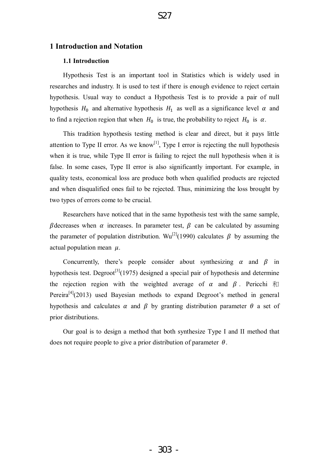# **1 Introduction and Notation**

## **1.1 Introduction**

 Hypothesis Test is an important tool in Statistics which is widely used in researches and industry. It is used to test if there is enough evidence to reject certain hypothesis. Usual way to conduct a Hypothesis Test is to provide a pair of null hypothesis  $H_0$  and alternative hypothesis  $H_1$  as well as a significance level  $\alpha$  and to find a rejection region that when  $H_0$  is true, the probability to reject  $H_0$  is  $\alpha$ .

This tradition hypothesis testing method is clear and direct, but it pays little attention to Type II error. As we know<sup>[1]</sup>, Type I error is rejecting the null hypothesis when it is true, while Type II error is failing to reject the null hypothesis when it is false. In some cases, Type II error is also significantly important. For example, in quality tests, economical loss are produce both when qualified products are rejected and when disqualified ones fail to be rejected. Thus, minimizing the loss brought by two types of errors come to be crucial.

Researchers have noticed that in the same hypothesis test with the same sample,  $\beta$  decreases when  $\alpha$  increases. In parameter test,  $\beta$  can be calculated by assuming the parameter of population distribution. Wu<sup>[2]</sup>(1990) calculates  $\beta$  by assuming the actual population mean  $\mu$ .

Concurrently, there's people consider about synthesizing  $\alpha$  and  $\beta$  in hypothesis test. Degroot<sup>[3]</sup>(1975) designed a special pair of hypothesis and determine the rejection region with the weighted average of  $\alpha$  and  $\beta$ . Pericchi  $\bar{\pi}$ Pereira<sup>[4]</sup>(2013) used Bayesian methods to expand Degroot's method in general hypothesis and calculates  $\alpha$  and  $\beta$  by granting distribution parameter  $\theta$  a set of prior distributions.

Our goal is to design a method that both synthesize Type I and II method that does not require people to give a prior distribution of parameter  $\theta$ .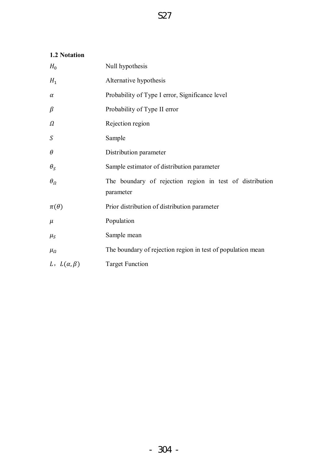# **1.2 Notation**

| $H_0$                 | Null hypothesis                                                       |  |  |  |  |
|-----------------------|-----------------------------------------------------------------------|--|--|--|--|
| $H_1$                 | Alternative hypothesis                                                |  |  |  |  |
| $\alpha$              | Probability of Type I error, Significance level                       |  |  |  |  |
| $\beta$               | Probability of Type II error                                          |  |  |  |  |
| Ω                     | Rejection region                                                      |  |  |  |  |
| $\boldsymbol{S}$      | Sample                                                                |  |  |  |  |
| $\theta$              | Distribution parameter                                                |  |  |  |  |
| $\theta_{S}$          | Sample estimator of distribution parameter                            |  |  |  |  |
| $\theta_{\Omega}$     | The boundary of rejection region in test of distribution<br>parameter |  |  |  |  |
| $\pi(\theta)$         | Prior distribution of distribution parameter                          |  |  |  |  |
| $\mu$                 | Population                                                            |  |  |  |  |
| $\mu_S$               | Sample mean                                                           |  |  |  |  |
| $\mu_{\Omega}$        | The boundary of rejection region in test of population mean           |  |  |  |  |
| L, $L(\alpha, \beta)$ | <b>Target Function</b>                                                |  |  |  |  |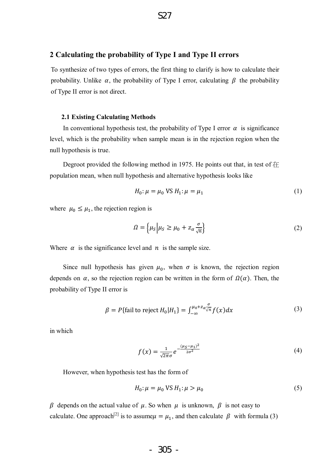# **2 Calculating the probability of Type I and Type II errors**

To synthesize of two types of errors, the first thing to clarify is how to calculate their probability. Unlike  $\alpha$ , the probability of Type I error, calculating  $\beta$  the probability of Type II error is not direct.

#### **2.1 Existing Calculating Methods**

In conventional hypothesis test, the probability of Type I error  $\alpha$  is significance level, which is the probability when sample mean is in the rejection region when the null hypothesis is true.

Degroot provided the following method in 1975. He points out that, in test of 在 population mean, when null hypothesis and alternative hypothesis looks like

$$
H_0: \mu = \mu_0 \text{ VS } H_1: \mu = \mu_1 \tag{1}
$$

where  $\mu_0 \leq \mu_1$ , the rejection region is

$$
\Omega = \left\{ \mu_S \middle| \mu_S \ge \mu_0 + z_\alpha \frac{\sigma}{\sqrt{n}} \right\} \tag{2}
$$

Where  $\alpha$  is the significance level and  $n$  is the sample size.

Since null hypothesis has given  $\mu_0$ , when  $\sigma$  is known, the rejection region depends on  $\alpha$ , so the rejection region can be written in the form of  $\Omega(\alpha)$ . Then, the probability of Type II error is

$$
\beta = P\{\text{fail to reject } H_0 | H_1\} = \int_{-\infty}^{\mu_0 + z_\alpha \frac{\sigma}{\sqrt{n}}} f(x) dx \tag{3}
$$

in which

$$
f(x) = \frac{1}{\sqrt{2\pi}\sigma} e^{-\frac{(\mu_S - \mu_1)^2}{2\sigma^2}}
$$
 (4)

However, when hypothesis test has the form of

$$
H_0: \mu = \mu_0 \text{ VS } H_1: \mu > \mu_0 \tag{5}
$$

 $\beta$  depends on the actual value of  $\mu$ . So when  $\mu$  is unknown,  $\beta$  is not easy to calculate. One approach<sup>[2]</sup> is to assume $\mu = \mu_1$ , and then calculate  $\beta$  with formula (3)

$$
-305 -
$$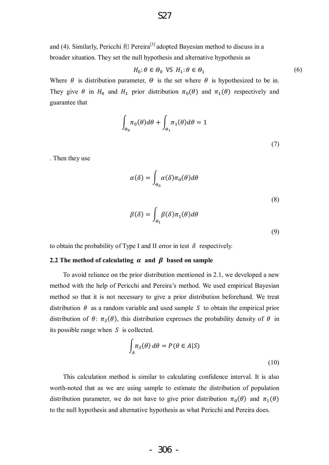and (4). Similarly, Pericchi  $\bar{\pi}$  Pereira<sup>[3]</sup> adopted Bayesian method to discuss in a broader situation. They set the null hypothesis and alternative hypothesis as

$$
H_0: \theta \in \Theta_0 \text{ VS } H_1: \theta \in \Theta_1 \tag{6}
$$

Where  $\theta$  is distribution parameter,  $\theta$  is the set where  $\theta$  is hypothesized to be in. They give  $\theta$  in  $H_0$  and  $H_1$  prior distribution  $\pi_0(\theta)$  and  $\pi_1(\theta)$  respectively and guarantee that

$$
\int_{\theta_0} \pi_0(\theta) d\theta + \int_{\theta_1} \pi_1(\theta) d\theta = 1
$$
\n(7)

. Then they use

$$
\alpha(\delta) = \int_{\theta_0} \alpha(\delta) \pi_0(\theta) d\theta
$$
\n(8)

$$
\beta(\delta) = \int_{\Theta_1} \beta(\delta) \pi_1(\theta) d\theta
$$

(9)

to obtain the probability of Type I and II error in test  $\delta$  respectively.

#### **2.2** The method of calculating  $\alpha$  and  $\beta$  based on sample

 To avoid reliance on the prior distribution mentioned in 2.1, we developed a new method with the help of Pericchi and Pereira's method. We used empirical Bayesian method so that it is not necessary to give a prior distribution beforehand. We treat distribution  $\theta$  as a random variable and used sample S to obtain the empirical prior distribution of  $\theta$ :  $\pi_s(\theta)$ , this distribution expresses the probability density of  $\theta$  in its possible range when  $S$  is collected.

$$
\int_{A} \pi_{S}(\theta) d\theta = P(\theta \in A|S)
$$
\n(10)

This calculation method is similar to calculating confidence interval. It is also worth-noted that as we are using sample to estimate the distribution of population distribution parameter, we do not have to give prior distribution  $\pi_0(\theta)$  and  $\pi_1(\theta)$ to the null hypothesis and alternative hypothesis as what Pericchi and Pereira does.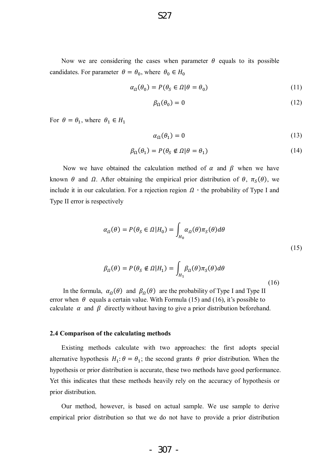Now we are considering the cases when parameter  $\theta$  equals to its possible candidates. For parameter  $\theta = \theta_0$ , where  $\theta_0 \in H_0$ 

$$
\alpha_{\Omega}(\theta_0) = P(\theta_S \in \Omega | \theta = \theta_0)
$$
\n(11)

$$
\beta_{\Omega}(\theta_0) = 0 \tag{12}
$$

For  $\theta = \theta_1$ , where  $\theta_1 \in H_1$ 

$$
\alpha_{\Omega}(\theta_1) = 0 \tag{13}
$$

$$
\beta_{\Omega}(\theta_1) = P(\theta_S \notin \Omega | \theta = \theta_1)
$$
\n(14)

Now we have obtained the calculation method of  $\alpha$  and  $\beta$  when we have known  $\theta$  and  $\Omega$ . After obtaining the empirical prior distribution of  $\theta$ ,  $\pi_S(\theta)$ , we include it in our calculation. For a rejection region  $\Omega$ , the probability of Type I and Type II error is respectively

$$
\alpha_{\Omega}(\theta) = P(\theta_{S} \in \Omega | H_{0}) = \int_{H_{0}} \alpha_{\Omega}(\theta) \pi_{S}(\theta) d\theta
$$
\n(15)

$$
\beta_{\Omega}(\theta) = P(\theta_{S} \notin \Omega | H_{1}) = \int_{H_{1}} \beta_{\Omega}(\theta) \pi_{S}(\theta) d\theta
$$
\n(16)

In the formula,  $\alpha_{\Omega}(\theta)$  and  $\beta_{\Omega}(\theta)$  are the probability of Type I and Type II error when  $\theta$  equals a certain value. With Formula (15) and (16), it's possible to calculate  $\alpha$  and  $\beta$  directly without having to give a prior distribution beforehand.

#### **2.4 Comparison of the calculating methods**

Existing methods calculate with two approaches: the first adopts special alternative hypothesis  $H_1: \theta = \theta_1$ ; the second grants  $\theta$  prior distribution. When the hypothesis or prior distribution is accurate, these two methods have good performance. Yet this indicates that these methods heavily rely on the accuracy of hypothesis or prior distribution.

Our method, however, is based on actual sample. We use sample to derive empirical prior distribution so that we do not have to provide a prior distribution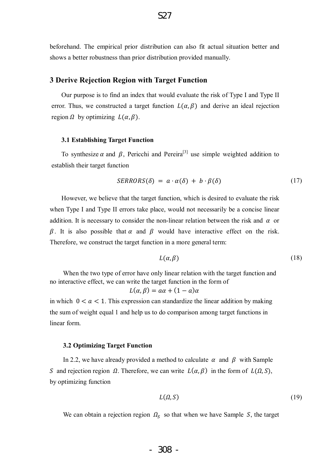beforehand. The empirical prior distribution can also fit actual situation better and shows a better robustness than prior distribution provided manually.

# **3 Derive Rejection Region with Target Function**

Our purpose is to find an index that would evaluate the risk of Type I and Type II error. Thus, we constructed a target function  $L(\alpha, \beta)$  and derive an ideal rejection region  $\Omega$  by optimizing  $L(\alpha, \beta)$ .

#### **3.1 Establishing Target Function**

To synthesize  $\alpha$  and  $\beta$ , Pericchi and Pereira<sup>[3]</sup> use simple weighted addition to establish their target function

$$
SERRORS(\delta) = a \cdot \alpha(\delta) + b \cdot \beta(\delta) \tag{17}
$$

However, we believe that the target function, which is desired to evaluate the risk when Type I and Type II errors take place, would not necessarily be a concise linear addition. It is necessary to consider the non-linear relation between the risk and  $\alpha$  or  $\beta$ . It is also possible that  $\alpha$  and  $\beta$  would have interactive effect on the risk. Therefore, we construct the target function in a more general term:

$$
L(\alpha, \beta) \tag{18}
$$

 When the two type of error have only linear relation with the target function and no interactive effect, we can write the target function in the form of

$$
L(\alpha, \beta) = a\alpha + (1 - a)\alpha
$$

in which  $0 < a < 1$ . This expression can standardize the linear addition by making the sum of weight equal 1 and help us to do comparison among target functions in linear form.

#### **3.2 Optimizing Target Function**

In 2.2, we have already provided a method to calculate  $\alpha$  and  $\beta$  with Sample S and rejection region  $\Omega$ . Therefore, we can write  $L(\alpha, \beta)$  in the form of  $L(\Omega, \mathcal{S})$ , by optimizing function

$$
L(\Omega, S) \tag{19}
$$

We can obtain a rejection region  $\Omega_s$  so that when we have Sample S, the target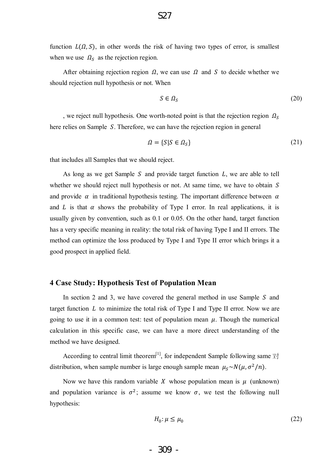function  $L(\Omega, S)$ , in other words the risk of having two types of error, is smallest when we use  $\Omega_s$  as the rejection region.

After obtaining rejection region  $\Omega$ , we can use  $\Omega$  and S to decide whether we should rejection null hypothesis or not. When

$$
S \in \Omega_S \tag{20}
$$

, we reject null hypothesis. One worth-noted point is that the rejection region  $\Omega_s$ here relies on Sample S. Therefore, we can have the rejection region in general

$$
\Omega = \{ S | S \in \Omega_S \} \tag{21}
$$

that includes all Samples that we should reject.

As long as we get Sample S and provide target function  $L$ , we are able to tell whether we should reject null hypothesis or not. At same time, we have to obtain  $S$ and provide  $\alpha$  in traditional hypothesis testing. The important difference between  $\alpha$ and L is that  $\alpha$  shows the probability of Type I error. In real applications, it is usually given by convention, such as 0.1 or 0.05. On the other hand, target function has a very specific meaning in reality: the total risk of having Type I and II errors. The method can optimize the loss produced by Type I and Type II error which brings it a good prospect in applied field.

### **4 Case Study: Hypothesis Test of Population Mean**

In section 2 and 3, we have covered the general method in use Sample  $S$  and target function  $L$  to minimize the total risk of Type I and Type II error. Now we are going to use it in a common test: test of population mean  $\mu$ . Though the numerical calculation in this specific case, we can have a more direct understanding of the method we have designed.

According to central limit theorem<sup>[1]</sup>, for independent Sample following same  $\forall \exists$ distribution, when sample number is large enough sample mean  $\mu_s \sim N(\mu, \sigma^2/n)$ .

Now we have this random variable X whose population mean is  $\mu$  (unknown) and population variance is  $\sigma^2$ ; assume we know  $\sigma$ , we test the following null hypothesis:

$$
H_0: \mu \le \mu_0 \tag{22}
$$

$$
-309 -
$$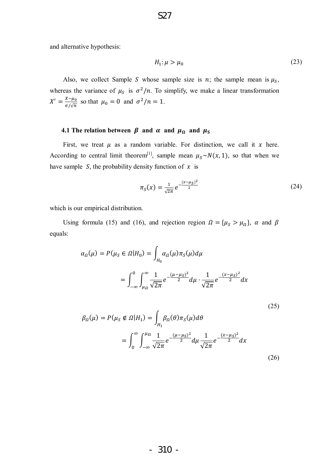and alternative hypothesis:

$$
H_1: \mu > \mu_0 \tag{23}
$$

Also, we collect Sample S whose sample size is *n*; the sample mean is  $\mu_s$ , whereas the variance of  $\mu_s$  is  $\sigma^2/n$ . To simplify, we make a linear transformation  $X' = \frac{X - \mu_0}{\sigma}$  $\frac{x-\mu_0}{\sigma/\sqrt{n}}$  so that  $\mu_0 = 0$  and  $\sigma^2/n = 1$ .

# **4.1** The relation between  $\beta$  and  $\alpha$  and  $\mu_{\Omega}$  and  $\mu_{\delta}$

First, we treat  $\mu$  as a random variable. For distinction, we call it  $x$  here. According to central limit theorem<sup>[1]</sup>, sample mean  $\mu_s \sim N(x, 1)$ , so that when we have sample  $S$ , the probability density function of  $x$  is

$$
\pi_S(x) = \frac{1}{\sqrt{2\pi}} e^{-\frac{(x-\mu_S)^2}{2}}
$$
\n(24)

(25)

which is our empirical distribution.

Using formula (15) and (16), and rejection region  $\Omega = {\mu<sub>S</sub> > \mu<sub>Q</sub>}, \alpha$  and  $\beta$ equals:

$$
\alpha_{\Omega}(\mu) = P(\mu_{S} \in \Omega | H_{0}) = \int_{H_{0}} \alpha_{\Omega}(\mu) \pi_{S}(\mu) d\mu
$$

$$
= \int_{-\infty}^{0} \int_{\mu_{\Omega}}^{\infty} \frac{1}{\sqrt{2\pi}} e^{-\frac{(\mu - \mu_{S})^{2}}{2}} d\mu \cdot \frac{1}{\sqrt{2\pi}} e^{-\frac{(x - \mu_{S})^{2}}{2}} dx
$$

$$
\beta_{\Omega}(\mu) = P(\mu_S \notin \Omega | H_1) = \int_{H_1} \beta_{\Omega}(\theta) \pi_S(\mu) d\theta
$$
  

$$
= \int_0^{\infty} \int_{-\infty}^{\mu_{\Omega}} \frac{1}{\sqrt{2\pi}} e^{-\frac{(\mu - \mu_S)^2}{2}} d\mu \frac{1}{\sqrt{2\pi}} e^{-\frac{(x - \mu_S)^2}{2}} dx
$$
(26)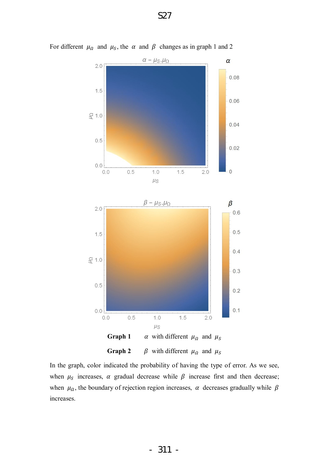

For different  $\mu_{\Omega}$  and  $\mu_{\mathcal{S}}$ , the  $\alpha$  and  $\beta$  changes as in graph 1 and 2

**Graph 2**  $\beta$  with different  $\mu_{\Omega}$  and  $\mu_{S}$ 

In the graph, color indicated the probability of having the type of error. As we see, when  $\mu_s$  increases,  $\alpha$  gradual decrease while  $\beta$  increase first and then decrease; when  $\mu_a$ , the boundary of rejection region increases,  $\alpha$  decreases gradually while  $\beta$ increases.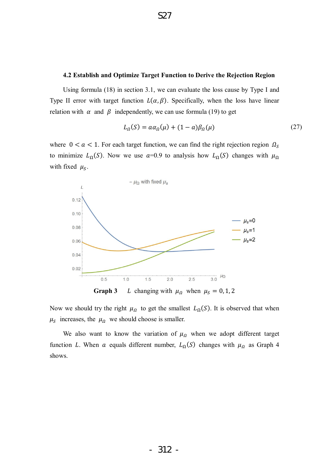#### **4.2 Establish and Optimize Target Function to Derive the Rejection Region**

S27

Using formula (18) in section 3.1, we can evaluate the loss cause by Type I and Type II error with target function  $L(\alpha, \beta)$ . Specifically, when the loss have linear relation with  $\alpha$  and  $\beta$  independently, we can use formula (19) to get

$$
L_{\Omega}(S) = a\alpha_{\Omega}(\mu) + (1 - a)\beta_{\Omega}(\mu) \tag{27}
$$

where  $0 < a < 1$ . For each target function, we can find the right rejection region  $\Omega_s$ to minimize  $L_{\Omega}(S)$ . Now we use  $\alpha=0.9$  to analysis how  $L_{\Omega}(S)$  changes with  $\mu_{\Omega}$ with fixed  $\mu_s$ .



Now we should try the right  $\mu_{\Omega}$  to get the smallest  $L_{\Omega}(S)$ . It is observed that when  $\mu_S$  increases, the  $\mu_{\Omega}$  we should choose is smaller.

We also want to know the variation of  $\mu_{\Omega}$  when we adopt different target function L. When a equals different number,  $L_{\Omega}(S)$  changes with  $\mu_{\Omega}$  as Graph 4 shows.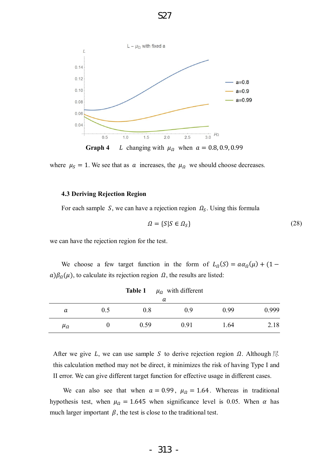

S27

where  $\mu_s = 1$ . We see that as  $\alpha$  increases, the  $\mu_a$  we should choose decreases.

#### **4.3 Deriving Rejection Region**

For each sample S, we can have a rejection region  $\Omega_s$ . Using this formula

$$
\Omega = \{ S | S \in \Omega_S \} \tag{28}
$$

we can have the rejection region for the test.

We choose a few target function in the form of  $L_{\Omega}(S) = a\alpha_{\Omega}(\mu) + (1 - \mu)$  $a)\beta_{\Omega}(\mu)$ , to calculate its rejection region  $\Omega$ , the results are listed:

| TADIC <sub>1</sub><br>$\mu_{\Omega}$ with different<br>а |     |      |      |      |       |  |  |
|----------------------------------------------------------|-----|------|------|------|-------|--|--|
| a                                                        | 0.5 | 0.8  | 0.9  | 0.99 | 0.999 |  |  |
| $\mu_{\Omega}$                                           |     | 0.59 | 0.91 | 1.64 | 2.18  |  |  |

Table 1 *u<sub>c</sub>* with different

After we give L, we can use sample S to derive rejection region  $\Omega$ . Although  $\mathbb R$ this calculation method may not be direct, it minimizes the risk of having Type I and II error. We can give different target function for effective usage in different cases.

We can also see that when  $\alpha = 0.99$ ,  $\mu_a = 1.64$ . Whereas in traditional hypothesis test, when  $\mu_{\Omega} = 1.645$  when significance level is 0.05. When  $\alpha$  has much larger important  $\beta$ , the test is close to the traditional test.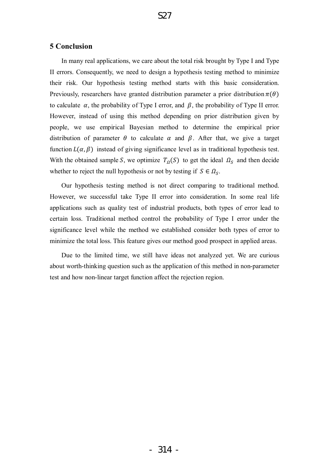# **5 Conclusion**

In many real applications, we care about the total risk brought by Type I and Type II errors. Consequently, we need to design a hypothesis testing method to minimize their risk. Our hypothesis testing method starts with this basic consideration. Previously, researchers have granted distribution parameter a prior distribution  $\pi(\theta)$ to calculate  $\alpha$ , the probability of Type I error, and  $\beta$ , the probability of Type II error. However, instead of using this method depending on prior distribution given by people, we use empirical Bayesian method to determine the empirical prior distribution of parameter  $\theta$  to calculate  $\alpha$  and  $\beta$ . After that, we give a target function  $L(\alpha, \beta)$  instead of giving significance level as in traditional hypothesis test. With the obtained sample S, we optimize  $T_a(S)$  to get the ideal  $\Omega_s$  and then decide whether to reject the null hypothesis or not by testing if  $S \in \Omega_s$ .

Our hypothesis testing method is not direct comparing to traditional method. However, we successful take Type II error into consideration. In some real life applications such as quality test of industrial products, both types of error lead to certain loss. Traditional method control the probability of Type I error under the significance level while the method we established consider both types of error to minimize the total loss. This feature gives our method good prospect in applied areas.

Due to the limited time, we still have ideas not analyzed yet. We are curious about worth-thinking question such as the application of this method in non-parameter test and how non-linear target function affect the rejection region.